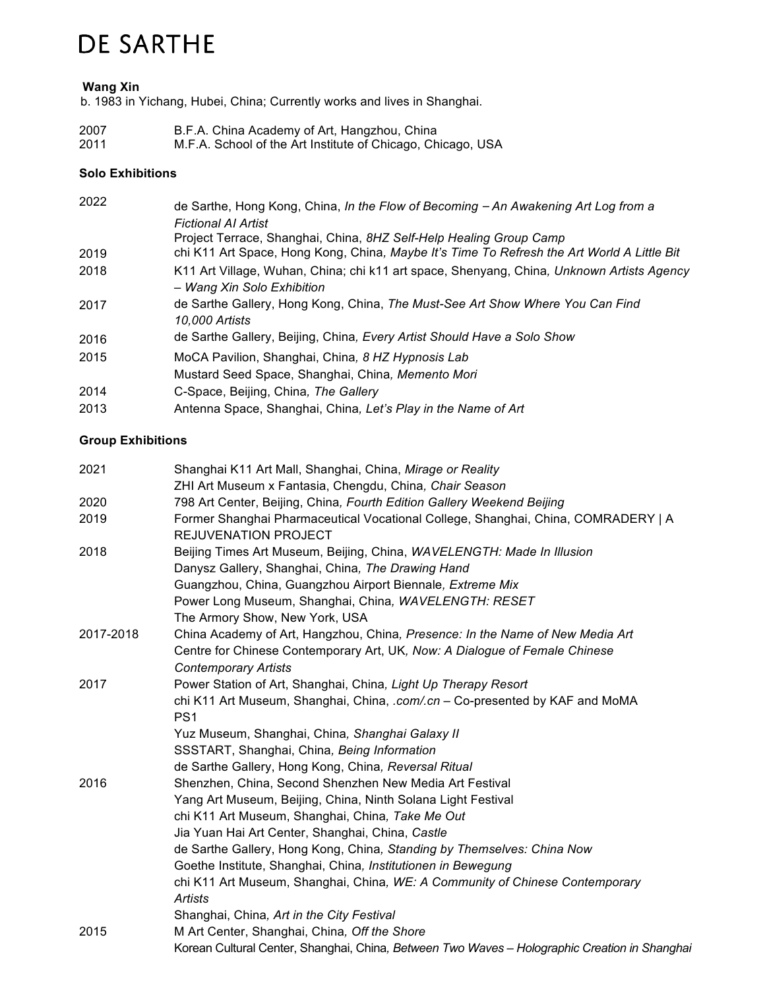# DE SARTHE

### **Wang Xin**

b. 1983 in Yichang, Hubei, China; Currently works and lives in Shanghai.

| 2007 | B.F.A. China Academy of Art, Hangzhou, China                |
|------|-------------------------------------------------------------|
| 2011 | M.F.A. School of the Art Institute of Chicago, Chicago, USA |

### **Solo Exhibitions**

| 2022 | de Sarthe, Hong Kong, China, In the Flow of Becoming - An Awakening Art Log from a                                                                               |
|------|------------------------------------------------------------------------------------------------------------------------------------------------------------------|
|      | Fictional AI Artist                                                                                                                                              |
| 2019 | Project Terrace, Shanghai, China, 8HZ Self-Help Healing Group Camp<br>chi K11 Art Space, Hong Kong, China, Maybe It's Time To Refresh the Art World A Little Bit |
| 2018 | K11 Art Village, Wuhan, China; chi k11 art space, Shenyang, China, Unknown Artists Agency<br>- Wang Xin Solo Exhibition                                          |
| 2017 | de Sarthe Gallery, Hong Kong, China, The Must-See Art Show Where You Can Find<br>10,000 Artists                                                                  |
| 2016 | de Sarthe Gallery, Beijing, China, Every Artist Should Have a Solo Show                                                                                          |
| 2015 | MoCA Pavilion, Shanghai, China, 8 HZ Hypnosis Lab                                                                                                                |
|      | Mustard Seed Space, Shanghai, China, Memento Mori                                                                                                                |
| 2014 | C-Space, Beijing, China, The Gallery                                                                                                                             |
| 2013 | Antenna Space, Shanghai, China, Let's Play in the Name of Art                                                                                                    |

### **Group Exhibitions**

| 2021      | Shanghai K11 Art Mall, Shanghai, China, Mirage or Reality                                                 |
|-----------|-----------------------------------------------------------------------------------------------------------|
|           | ZHI Art Museum x Fantasia, Chengdu, China, Chair Season                                                   |
| 2020      | 798 Art Center, Beijing, China, Fourth Edition Gallery Weekend Beijing                                    |
| 2019      | Former Shanghai Pharmaceutical Vocational College, Shanghai, China, COMRADERY   A<br>REJUVENATION PROJECT |
| 2018      | Beijing Times Art Museum, Beijing, China, WAVELENGTH: Made In Illusion                                    |
|           | Danysz Gallery, Shanghai, China, The Drawing Hand                                                         |
|           | Guangzhou, China, Guangzhou Airport Biennale, Extreme Mix                                                 |
|           | Power Long Museum, Shanghai, China, WAVELENGTH: RESET                                                     |
|           | The Armory Show, New York, USA                                                                            |
| 2017-2018 | China Academy of Art, Hangzhou, China, Presence: In the Name of New Media Art                             |
|           | Centre for Chinese Contemporary Art, UK, Now: A Dialogue of Female Chinese                                |
|           | <b>Contemporary Artists</b>                                                                               |
| 2017      | Power Station of Art, Shanghai, China, Light Up Therapy Resort                                            |
|           | chi K11 Art Museum, Shanghai, China, .com/.cn - Co-presented by KAF and MoMA                              |
|           | PS <sub>1</sub>                                                                                           |
|           | Yuz Museum, Shanghai, China, Shanghai Galaxy II                                                           |
|           | SSSTART, Shanghai, China, Being Information                                                               |
|           | de Sarthe Gallery, Hong Kong, China, Reversal Ritual                                                      |
| 2016      | Shenzhen, China, Second Shenzhen New Media Art Festival                                                   |
|           | Yang Art Museum, Beijing, China, Ninth Solana Light Festival                                              |
|           | chi K11 Art Museum, Shanghai, China, Take Me Out                                                          |
|           | Jia Yuan Hai Art Center, Shanghai, China, Castle                                                          |
|           | de Sarthe Gallery, Hong Kong, China, Standing by Themselves: China Now                                    |
|           | Goethe Institute, Shanghai, China, Institutionen in Bewegung                                              |
|           | chi K11 Art Museum, Shanghai, China, WE: A Community of Chinese Contemporary                              |
|           | Artists                                                                                                   |
|           | Shanghai, China, Art in the City Festival                                                                 |
| 2015      | M Art Center, Shanghai, China, Off the Shore                                                              |
|           | Korean Cultural Center, Shanghai, China, Between Two Waves - Holographic Creation in Shanghai             |